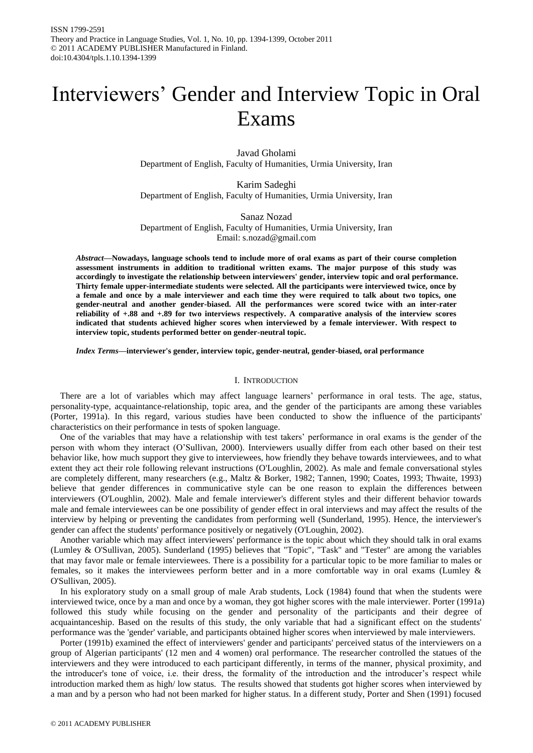# Interviewers' Gender and Interview Topic in Oral Exams

Javad Gholami Department of English, Faculty of Humanities, Urmia University, Iran

Karim Sadeghi Department of English, Faculty of Humanities, Urmia University, Iran

Sanaz Nozad Department of English, Faculty of Humanities, Urmia University, Iran Email: s.nozad@gmail.com

*Abstract***—Nowadays, language schools tend to include more of oral exams as part of their course completion assessment instruments in addition to traditional written exams. The major purpose of this study was accordingly to investigate the relationship between interviewers' gender, interview topic and oral performance. Thirty female upper-intermediate students were selected. All the participants were interviewed twice, once by a female and once by a male interviewer and each time they were required to talk about two topics, one gender-neutral and another gender-biased. All the performances were scored twice with an inter-rater reliability of +.88 and +.89 for two interviews respectively. A comparative analysis of the interview scores indicated that students achieved higher scores when interviewed by a female interviewer. With respect to interview topic, students performed better on gender-neutral topic.**

*Index Terms***—interviewer's gender, interview topic, gender-neutral, gender-biased, oral performance**

# I. INTRODUCTION

There are a lot of variables which may affect language learners' performance in oral tests. The age, status, personality-type, acquaintance-relationship, topic area, and the gender of the participants are among these variables (Porter, 1991a). In this regard, various studies have been conducted to show the influence of the participants' characteristics on their performance in tests of spoken language.

One of the variables that may have a relationship with test takers' performance in oral exams is the gender of the person with whom they interact (O'Sullivan, 2000). Interviewers usually differ from each other based on their test behavior like, how much support they give to interviewees, how friendly they behave towards interviewees, and to what extent they act their role following relevant instructions (O'Loughlin, 2002). As male and female conversational styles are completely different, many researchers (e.g., Maltz & Borker, 1982; Tannen, 1990; Coates, 1993; Thwaite, 1993) believe that gender differences in communicative style can be one reason to explain the differences between interviewers (O'Loughlin, 2002). Male and female interviewer's different styles and their different behavior towards male and female interviewees can be one possibility of gender effect in oral interviews and may affect the results of the interview by helping or preventing the candidates from performing well (Sunderland, 1995). Hence, the interviewer's gender can affect the students' performance positively or negatively (O'Loughin, 2002).

Another variable which may affect interviewers' performance is the topic about which they should talk in oral exams (Lumley & O'Sullivan, 2005). Sunderland (1995) believes that "Topic", "Task" and "Tester" are among the variables that may favor male or female interviewees. There is a possibility for a particular topic to be more familiar to males or females, so it makes the interviewees perform better and in a more comfortable way in oral exams (Lumley & O'Sullivan, 2005).

In his exploratory study on a small group of male Arab students, Lock (1984) found that when the students were interviewed twice, once by a man and once by a woman, they got higher scores with the male interviewer. Porter (1991a) followed this study while focusing on the gender and personality of the participants and their degree of acquaintanceship. Based on the results of this study, the only variable that had a significant effect on the students' performance was the 'gender' variable, and participants obtained higher scores when interviewed by male interviewers.

Porter (1991b) examined the effect of interviewers' gender and participants' perceived status of the interviewers on a group of Algerian participants' (12 men and 4 women) oral performance. The researcher controlled the statues of the interviewers and they were introduced to each participant differently, in terms of the manner, physical proximity, and the introducer's tone of voice, i.e. their dress, the formality of the introduction and the introducer's respect while introduction marked them as high/ low status. The results showed that students got higher scores when interviewed by a man and by a person who had not been marked for higher status. In a different study, Porter and Shen (1991) focused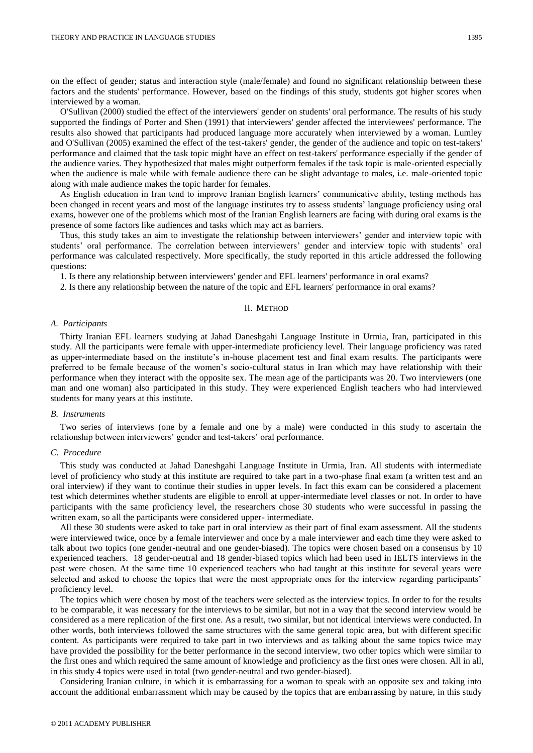on the effect of gender; status and interaction style (male/female) and found no significant relationship between these factors and the students' performance. However, based on the findings of this study, students got higher scores when interviewed by a woman.

O'Sullivan (2000) studied the effect of the interviewers' gender on students' oral performance. The results of his study supported the findings of Porter and Shen (1991) that interviewers' gender affected the interviewees' performance. The results also showed that participants had produced language more accurately when interviewed by a woman. Lumley and O'Sullivan (2005) examined the effect of the test-takers' gender, the gender of the audience and topic on test-takers' performance and claimed that the task topic might have an effect on test-takers' performance especially if the gender of the audience varies. They hypothesized that males might outperform females if the task topic is male-oriented especially when the audience is male while with female audience there can be slight advantage to males, i.e. male-oriented topic along with male audience makes the topic harder for females.

As English education in Iran tend to improve Iranian English learners' communicative ability, testing methods has been changed in recent years and most of the language institutes try to assess students' language proficiency using oral exams, however one of the problems which most of the Iranian English learners are facing with during oral exams is the presence of some factors like audiences and tasks which may act as barriers.

Thus, this study takes an aim to investigate the relationship between interviewers' gender and interview topic with students' oral performance. The correlation between interviewers' gender and interview topic with students' oral performance was calculated respectively. More specifically, the study reported in this article addressed the following questions:

1. Is there any relationship between interviewers' gender and EFL learners' performance in oral exams?

2. Is there any relationship between the nature of the topic and EFL learners' performance in oral exams?

### II. METHOD

#### *A. Participants*

Thirty Iranian EFL learners studying at Jahad Daneshgahi Language Institute in Urmia, Iran, participated in this study. All the participants were female with upper-intermediate proficiency level. Their language proficiency was rated as upper-intermediate based on the institute's in-house placement test and final exam results. The participants were preferred to be female because of the women's socio-cultural status in Iran which may have relationship with their performance when they interact with the opposite sex. The mean age of the participants was 20. Two interviewers (one man and one woman) also participated in this study. They were experienced English teachers who had interviewed students for many years at this institute.

## *B. Instruments*

Two series of interviews (one by a female and one by a male) were conducted in this study to ascertain the relationship between interviewers' gender and test-takers' oral performance.

#### *C. Procedure*

This study was conducted at Jahad Daneshgahi Language Institute in Urmia, Iran. All students with intermediate level of proficiency who study at this institute are required to take part in a two-phase final exam (a written test and an oral interview) if they want to continue their studies in upper levels. In fact this exam can be considered a placement test which determines whether students are eligible to enroll at upper-intermediate level classes or not. In order to have participants with the same proficiency level, the researchers chose 30 students who were successful in passing the written exam, so all the participants were considered upper- intermediate.

All these 30 students were asked to take part in oral interview as their part of final exam assessment. All the students were interviewed twice, once by a female interviewer and once by a male interviewer and each time they were asked to talk about two topics (one gender-neutral and one gender-biased). The topics were chosen based on a consensus by 10 experienced teachers. 18 gender-neutral and 18 gender-biased topics which had been used in IELTS interviews in the past were chosen. At the same time 10 experienced teachers who had taught at this institute for several years were selected and asked to choose the topics that were the most appropriate ones for the interview regarding participants' proficiency level.

The topics which were chosen by most of the teachers were selected as the interview topics. In order to for the results to be comparable, it was necessary for the interviews to be similar, but not in a way that the second interview would be considered as a mere replication of the first one. As a result, two similar, but not identical interviews were conducted. In other words, both interviews followed the same structures with the same general topic area, but with different specific content. As participants were required to take part in two interviews and as talking about the same topics twice may have provided the possibility for the better performance in the second interview, two other topics which were similar to the first ones and which required the same amount of knowledge and proficiency as the first ones were chosen. All in all, in this study 4 topics were used in total (two gender-neutral and two gender-biased).

Considering Iranian culture, in which it is embarrassing for a woman to speak with an opposite sex and taking into account the additional embarrassment which may be caused by the topics that are embarrassing by nature, in this study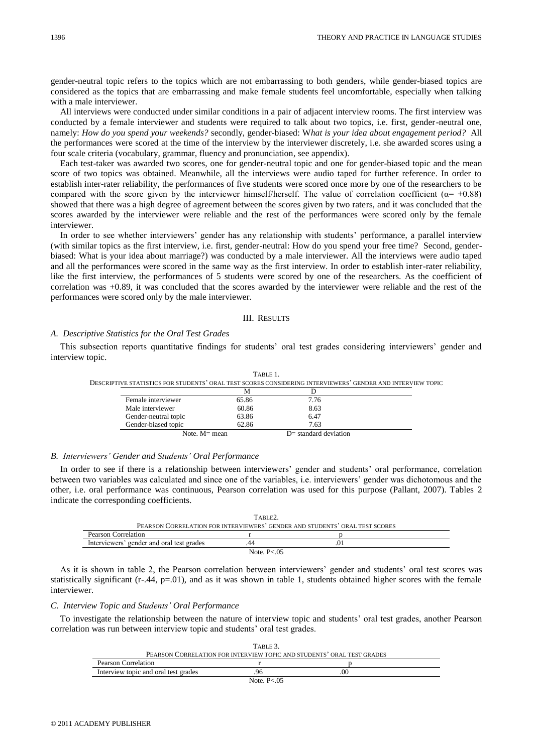gender-neutral topic refers to the topics which are not embarrassing to both genders, while gender-biased topics are considered as the topics that are embarrassing and make female students feel uncomfortable, especially when talking with a male interviewer.

All interviews were conducted under similar conditions in a pair of adjacent interview rooms. The first interview was conducted by a female interviewer and students were required to talk about two topics, i.e. first, gender-neutral one, namely: *How do you spend your weekends?* secondly, gender-biased: W*hat is your idea about engagement period?* All the performances were scored at the time of the interview by the interviewer discretely, i.e. she awarded scores using a four scale criteria (vocabulary, grammar, fluency and pronunciation, see appendix).

Each test-taker was awarded two scores, one for gender-neutral topic and one for gender-biased topic and the mean score of two topics was obtained. Meanwhile, all the interviews were audio taped for further reference. In order to establish inter-rater reliability, the performances of five students were scored once more by one of the researchers to be compared with the score given by the interviewer himself/herself. The value of correlation coefficient ( $\alpha$ = +0.88) showed that there was a high degree of agreement between the scores given by two raters, and it was concluded that the scores awarded by the interviewer were reliable and the rest of the performances were scored only by the female interviewer.

In order to see whether interviewers' gender has any relationship with students' performance, a parallel interview (with similar topics as the first interview, i.e. first, gender-neutral: How do you spend your free time? Second, genderbiased: What is your idea about marriage?) was conducted by a male interviewer. All the interviews were audio taped and all the performances were scored in the same way as the first interview. In order to establish inter-rater reliability, like the first interview, the performances of 5 students were scored by one of the researchers. As the coefficient of correlation was +0.89, it was concluded that the scores awarded by the interviewer were reliable and the rest of the performances were scored only by the male interviewer.

# III. RESULTS

# *A. Descriptive Statistics for the Oral Test Grades*

This subsection reports quantitative findings for students' oral test grades considering interviewers' gender and interview topic.

|                                                                                                            | TABLE 1. |                         |  |
|------------------------------------------------------------------------------------------------------------|----------|-------------------------|--|
| DESCRIPTIVE STATISTICS FOR STUDENTS' ORAL TEST SCORES CONSIDERING INTERVIEWERS' GENDER AND INTERVIEW TOPIC |          |                         |  |
|                                                                                                            | М        |                         |  |
| Female interviewer                                                                                         | 65.86    | 7.76                    |  |
| Male interviewer                                                                                           | 60.86    | 8.63                    |  |
| Gender-neutral topic                                                                                       | 63.86    | 6.47                    |  |
| Gender-biased topic                                                                                        | 62.86    | 7.63                    |  |
| Note. $M =$ mean                                                                                           |          | $D=$ standard deviation |  |

# *B. Interviewers' Gender and Students' Oral Performance*

In order to see if there is a relationship between interviewers' gender and students' oral performance, correlation between two variables was calculated and since one of the variables, i.e. interviewers' gender was dichotomous and the other, i.e. oral performance was continuous, Pearson correlation was used for this purpose (Pallant, 2007). Tables 2 indicate the corresponding coefficients.

| TABLE <sub>2</sub> .                                                        |               |  |  |
|-----------------------------------------------------------------------------|---------------|--|--|
| PEARSON CORRELATION FOR INTERVIEWERS' GENDER AND STUDENTS' ORAL TEST SCORES |               |  |  |
| Pearson Correlation                                                         |               |  |  |
| Interviewers' gender and oral test grades                                   | 44            |  |  |
|                                                                             | Note, $P<.05$ |  |  |

As it is shown in table 2, the Pearson correlation between interviewers' gender and students' oral test scores was statistically significant  $(r-.44, p=.01)$ , and as it was shown in table 1, students obtained higher scores with the female interviewer.

# *C. Interview Topic and Students' Oral Performance*

To investigate the relationship between the nature of interview topic and students' oral test grades, another Pearson correlation was run between interview topic and students' oral test grades.

| TABLE 3.                                                               |               |    |  |
|------------------------------------------------------------------------|---------------|----|--|
| PEARSON CORRELATION FOR INTERVIEW TOPIC AND STUDENTS' ORAL TEST GRADES |               |    |  |
| <b>Pearson Correlation</b>                                             |               |    |  |
| Interview topic and oral test grades                                   | 96            | 00 |  |
|                                                                        | Note, $P<.05$ |    |  |

1396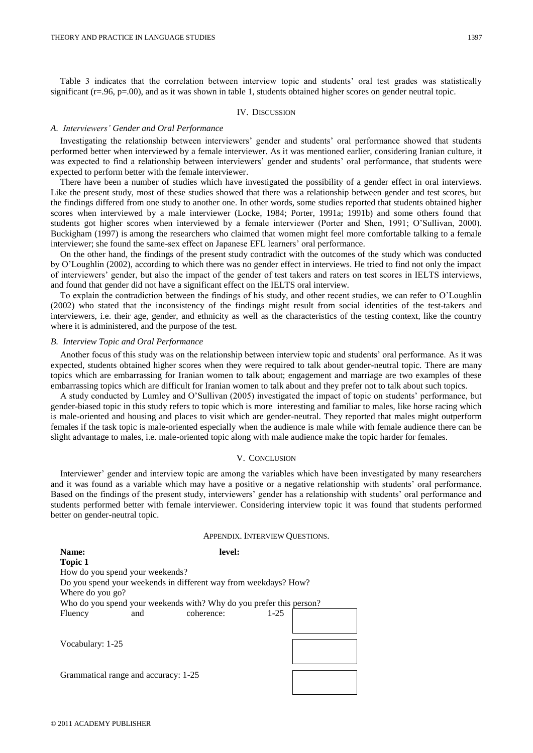Table 3 indicates that the correlation between interview topic and students' oral test grades was statistically significant (r=.96, p=.00), and as it was shown in table 1, students obtained higher scores on gender neutral topic.

## IV. DISCUSSION

# *A. Interviewers' Gender and Oral Performance*

Investigating the relationship between interviewers' gender and students' oral performance showed that students performed better when interviewed by a female interviewer. As it was mentioned earlier, considering Iranian culture, it was expected to find a relationship between interviewers' gender and students' oral performance, that students were expected to perform better with the female interviewer.

There have been a number of studies which have investigated the possibility of a gender effect in oral interviews. Like the present study, most of these studies showed that there was a relationship between gender and test scores, but the findings differed from one study to another one. In other words, some studies reported that students obtained higher scores when interviewed by a male interviewer (Locke, 1984; Porter, 1991a; 1991b) and some others found that students got higher scores when interviewed by a female interviewer (Porter and Shen, 1991; O'Sullivan, 2000). Buckigham (1997) is among the researchers who claimed that women might feel more comfortable talking to a female interviewer; she found the same-sex effect on Japanese EFL learners' oral performance.

On the other hand, the findings of the present study contradict with the outcomes of the study which was conducted by O'Loughlin (2002), according to which there was no gender effect in interviews. He tried to find not only the impact of interviewers' gender, but also the impact of the gender of test takers and raters on test scores in IELTS interviews, and found that gender did not have a significant effect on the IELTS oral interview.

To explain the contradiction between the findings of his study, and other recent studies, we can refer to O'Loughlin (2002) who stated that the inconsistency of the findings might result from social identities of the test-takers and interviewers, i.e. their age, gender, and ethnicity as well as the characteristics of the testing context, like the country where it is administered, and the purpose of the test.

#### *B. Interview Topic and Oral Performance*

Another focus of this study was on the relationship between interview topic and students' oral performance. As it was expected, students obtained higher scores when they were required to talk about gender-neutral topic. There are many topics which are embarrassing for Iranian women to talk about; engagement and marriage are two examples of these embarrassing topics which are difficult for Iranian women to talk about and they prefer not to talk about such topics.

A study conducted by Lumley and O'Sullivan (2005) investigated the impact of topic on students' performance, but gender-biased topic in this study refers to topic which is more interesting and familiar to males, like horse racing which is male-oriented and housing and places to visit which are gender-neutral. They reported that males might outperform females if the task topic is male-oriented especially when the audience is male while with female audience there can be slight advantage to males, i.e. male-oriented topic along with male audience make the topic harder for females.

#### V. CONCLUSION

Interviewer' gender and interview topic are among the variables which have been investigated by many researchers and it was found as a variable which may have a positive or a negative relationship with students' oral performance. Based on the findings of the present study, interviewers' gender has a relationship with students' oral performance and students performed better with female interviewer. Considering interview topic it was found that students performed better on gender-neutral topic.

|                                                                     | APPENDIX. INTERVIEW QUESTIONS. |                                                                 |          |  |
|---------------------------------------------------------------------|--------------------------------|-----------------------------------------------------------------|----------|--|
| Name:                                                               |                                | level:                                                          |          |  |
| <b>Topic 1</b>                                                      |                                |                                                                 |          |  |
| How do you spend your weekends?                                     |                                |                                                                 |          |  |
|                                                                     |                                | Do you spend your weekends in different way from weekdays? How? |          |  |
| Where do you go?                                                    |                                |                                                                 |          |  |
| Who do you spend your weekends with? Why do you prefer this person? |                                |                                                                 |          |  |
| Fluency                                                             | and                            | coherence:                                                      | $1 - 25$ |  |
|                                                                     |                                |                                                                 |          |  |
|                                                                     |                                |                                                                 |          |  |
| Vocabulary: 1-25                                                    |                                |                                                                 |          |  |
|                                                                     |                                |                                                                 |          |  |
|                                                                     |                                |                                                                 |          |  |
| Grammatical range and accuracy: 1-25                                |                                |                                                                 |          |  |
|                                                                     |                                |                                                                 |          |  |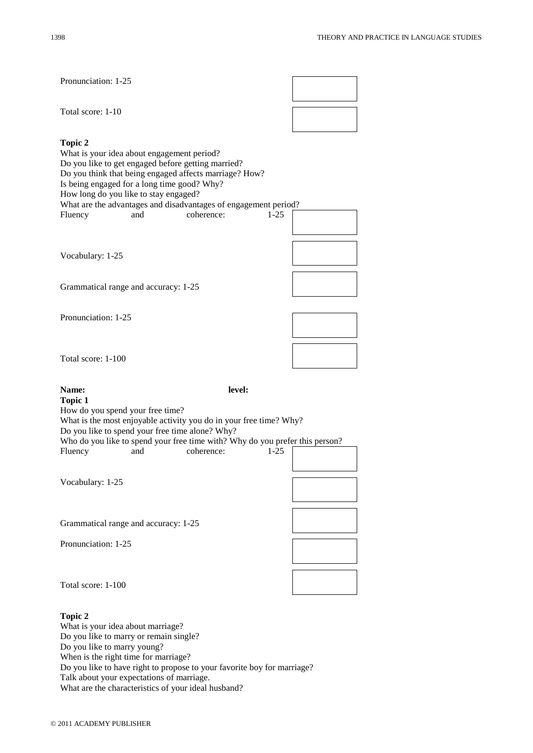| Pronunciation: 1-25                                                                                                                                                                                                                                                                                                                                                               |  |
|-----------------------------------------------------------------------------------------------------------------------------------------------------------------------------------------------------------------------------------------------------------------------------------------------------------------------------------------------------------------------------------|--|
| Total score: 1-10                                                                                                                                                                                                                                                                                                                                                                 |  |
| <b>Topic 2</b><br>What is your idea about engagement period?<br>Do you like to get engaged before getting married?<br>Do you think that being engaged affects marriage? How?<br>Is being engaged for a long time good? Why?<br>How long do you like to stay engaged?<br>What are the advantages and disadvantages of engagement period?<br>coherence:<br>Fluency<br>$1-25$<br>and |  |
| Vocabulary: 1-25                                                                                                                                                                                                                                                                                                                                                                  |  |
| Grammatical range and accuracy: 1-25                                                                                                                                                                                                                                                                                                                                              |  |
| Pronunciation: 1-25                                                                                                                                                                                                                                                                                                                                                               |  |
| Total score: 1-100                                                                                                                                                                                                                                                                                                                                                                |  |
|                                                                                                                                                                                                                                                                                                                                                                                   |  |
| level:<br>Name:<br><b>Topic 1</b><br>How do you spend your free time?<br>What is the most enjoyable activity you do in your free time? Why?<br>Do you like to spend your free time alone? Why?<br>Who do you like to spend your free time with? Why do you prefer this person?<br>coherence:<br>Fluency<br>$1-25$<br>and                                                          |  |
| Vocabulary: 1-25                                                                                                                                                                                                                                                                                                                                                                  |  |
| Grammatical range and accuracy: 1-25<br>Pronunciation: 1-25                                                                                                                                                                                                                                                                                                                       |  |
| Total score: 1-100                                                                                                                                                                                                                                                                                                                                                                |  |

Talk about your expectations of marriage.

What are the characteristics of your ideal husband?

Do you like to have right to propose to your favorite boy for marriage?